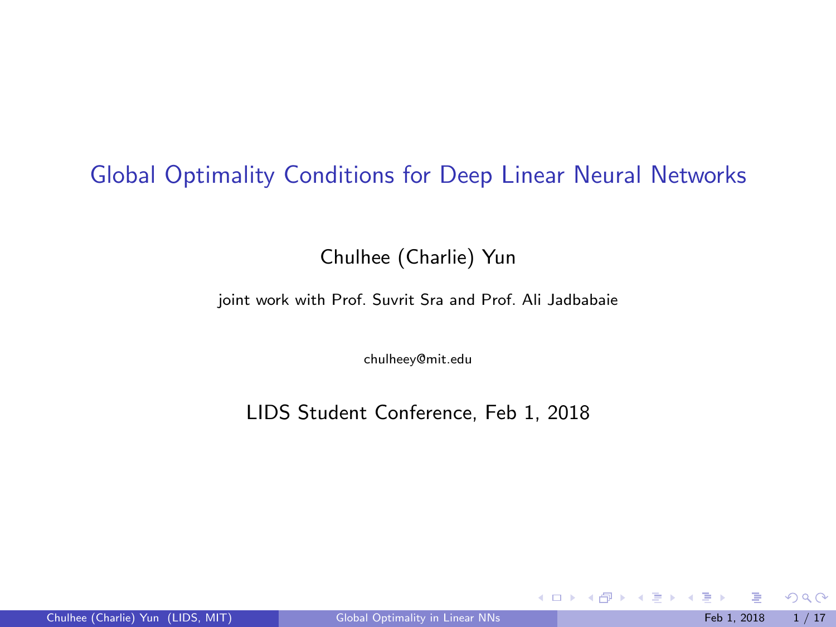## <span id="page-0-0"></span>Global Optimality Conditions for Deep Linear Neural Networks

Chulhee (Charlie) Yun

joint work with Prof. Suvrit Sra and Prof. Ali Jadbabaie

chulheey@mit.edu

LIDS Student Conference, Feb 1, 2018

 $299$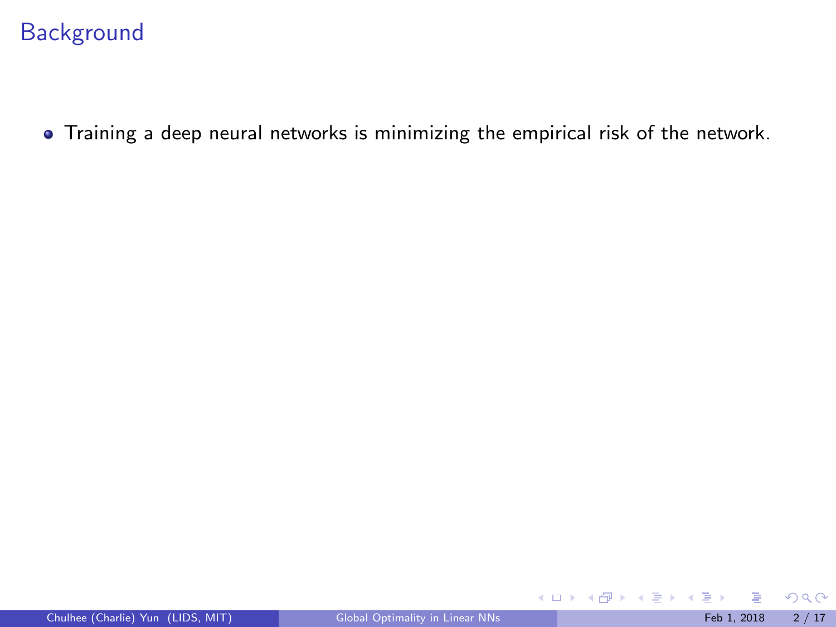# **Background**

Training a deep neural networks is minimizing the empirical risk of the network.

 $299$ 

メロトメ 倒 トメ ミトメ ミト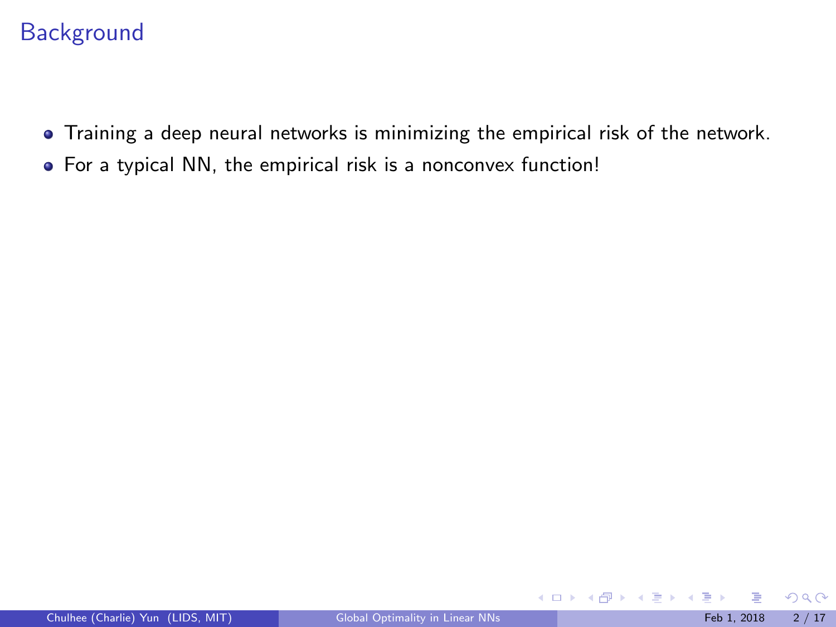# **Background**

- Training a deep neural networks is minimizing the empirical risk of the network.
- For a typical NN, the empirical risk is a nonconvex function!

 $299$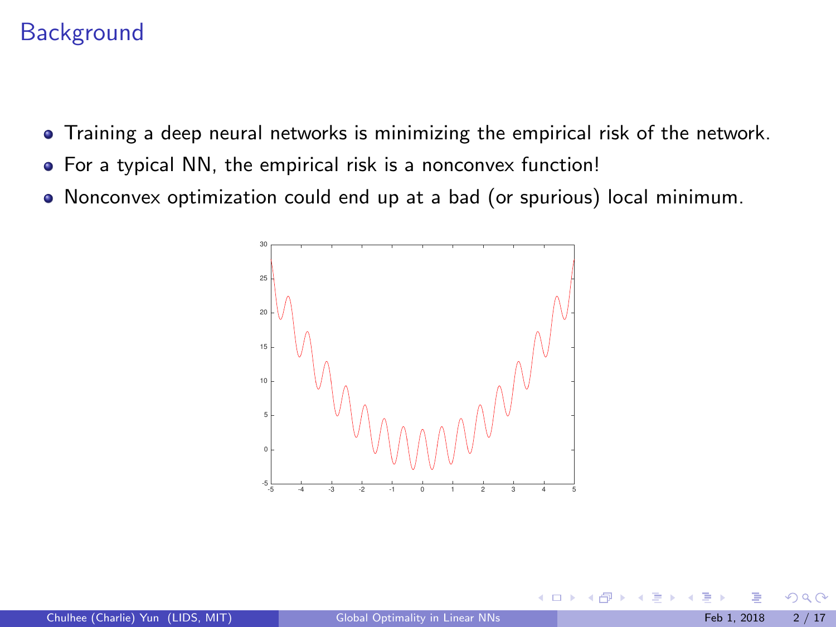# **Background**

- Training a deep neural networks is minimizing the empirical risk of the network.
- For a typical NN, the empirical risk is a nonconvex function!
- Nonconvex optimization could end up at a bad (or spurious) local minimum.



**K ロ ト K 何 ト** 

 $\Omega$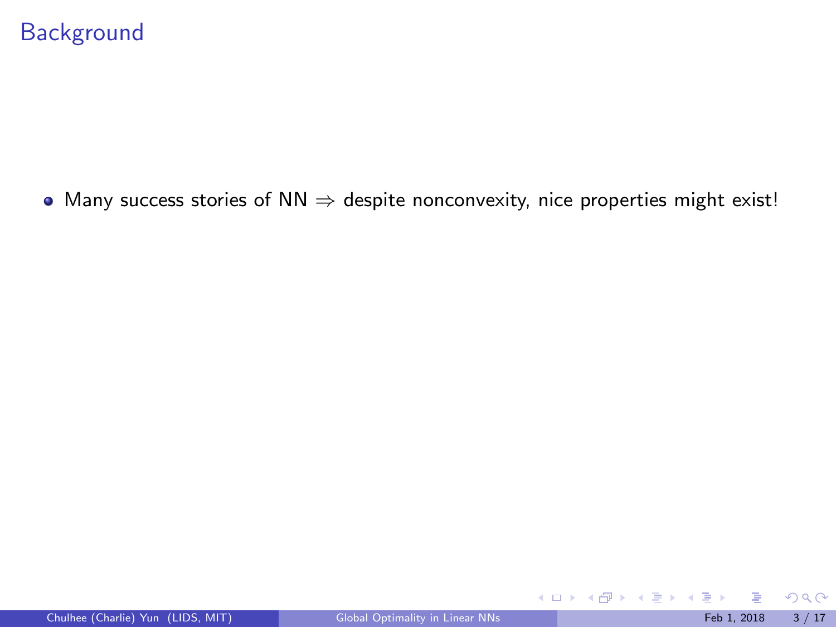$\bullet$  Many success stories of NN  $\Rightarrow$  despite nonconvexity, nice properties might exist!

 $299$ 

メロトメ 倒 トメ ミトメ ミト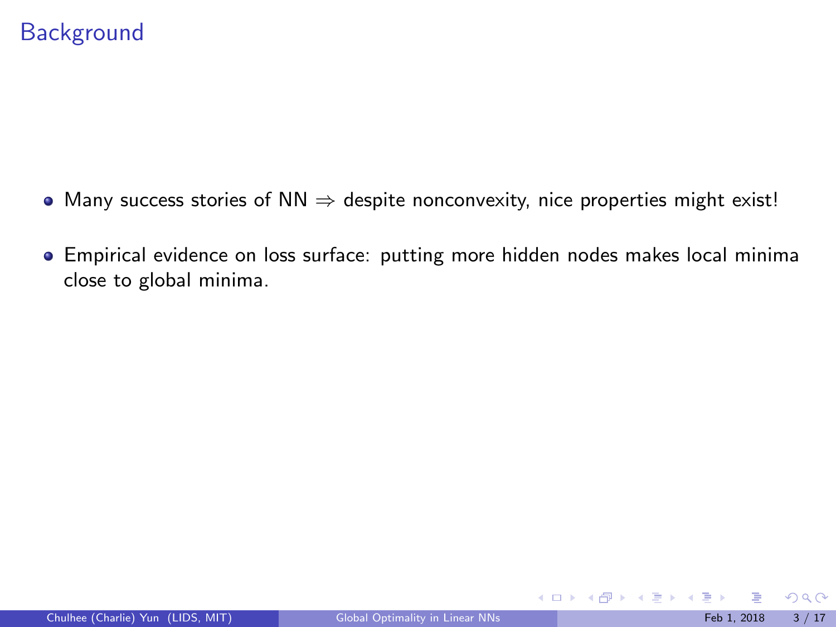- Many success stories of  $NN \Rightarrow$  despite nonconvexity, nice properties might exist!
- Empirical evidence on loss surface: putting more hidden nodes makes local minima close to global minima.

 $299$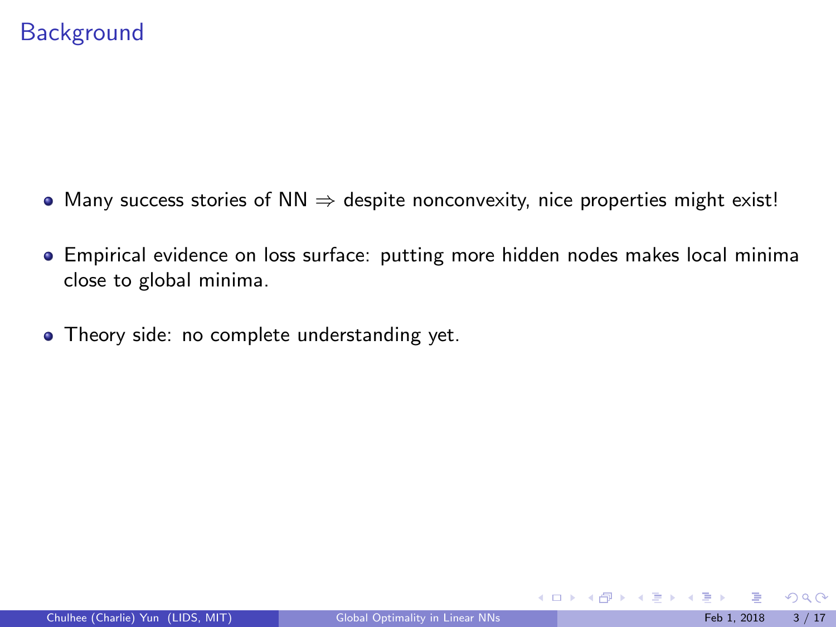- Many success stories of  $NN \Rightarrow$  despite nonconvexity, nice properties might exist!
- Empirical evidence on loss surface: putting more hidden nodes makes local minima close to global minima.
- Theory side: no complete understanding yet.

 $QQ$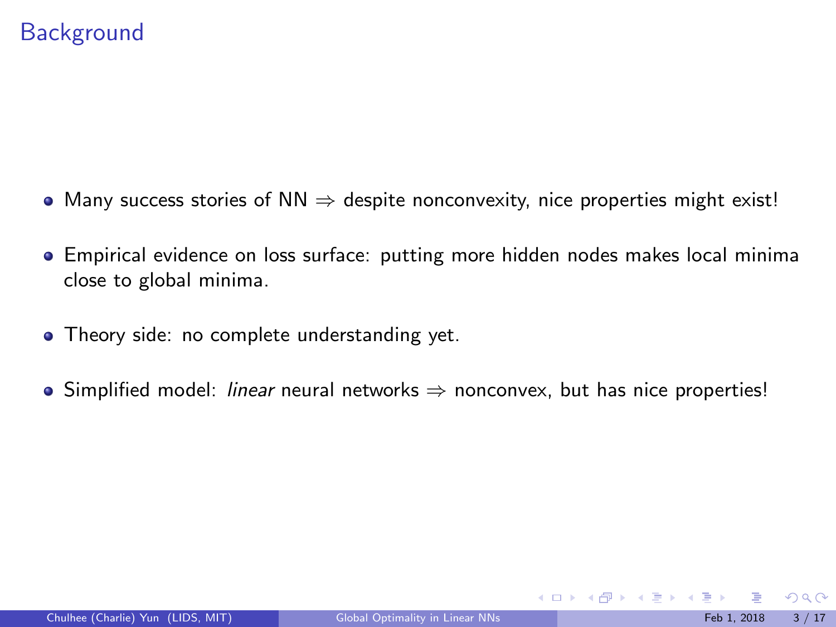- Many success stories of  $NN \Rightarrow$  despite nonconvexity, nice properties might exist!
- Empirical evidence on loss surface: putting more hidden nodes makes local minima close to global minima.
- **•** Theory side: no complete understanding yet.
- Simplified model: *linear* neural networks  $\Rightarrow$  nonconvex, but has nice properties!

 $\Omega$ 

 $\left\{ \begin{array}{ccc} 1 & 0 & 0 \\ 0 & 1 & 0 \end{array} \right\}$  ,  $\left\{ \begin{array}{ccc} 0 & 0 & 0 \\ 0 & 0 & 0 \end{array} \right\}$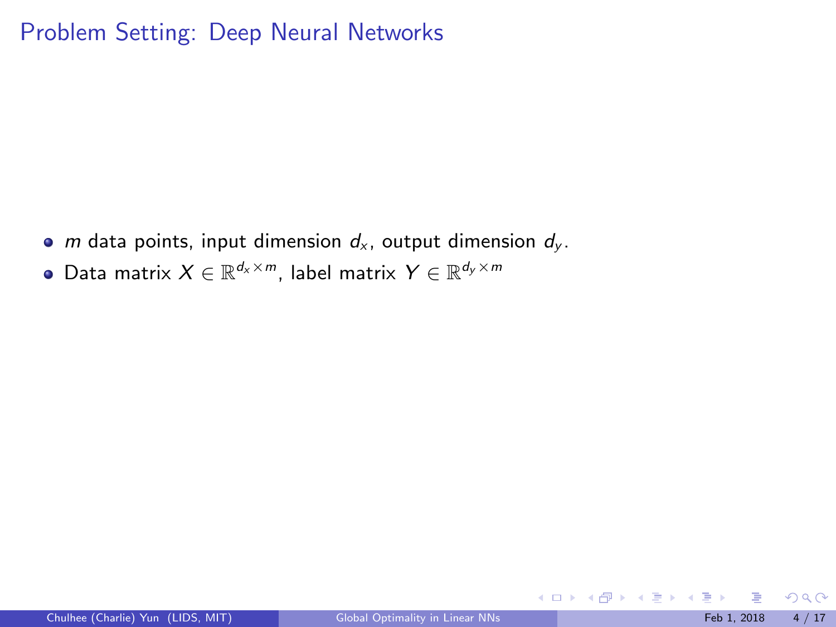- *m* data points, input dimension  $d_x$ , output dimension  $d_y$ .
- Data matrix  $X \in \mathbb{R}^{d_{\mathsf{x}} \times m}$ , label matrix  $Y \in \mathbb{R}^{d_{\mathsf{y}} \times m}$

 $299$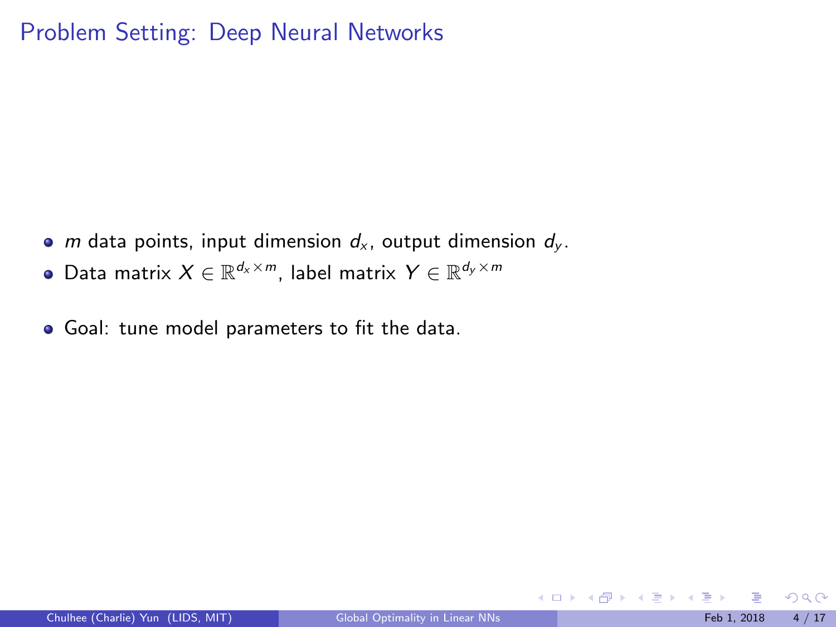- *m* data points, input dimension  $d_x$ , output dimension  $d_y$ .
- Data matrix  $X \in \mathbb{R}^{d_{\mathsf{x}} \times m}$ , label matrix  $Y \in \mathbb{R}^{d_{\mathsf{y}} \times m}$
- Goal: tune model parameters to fit the data.

 $\Omega$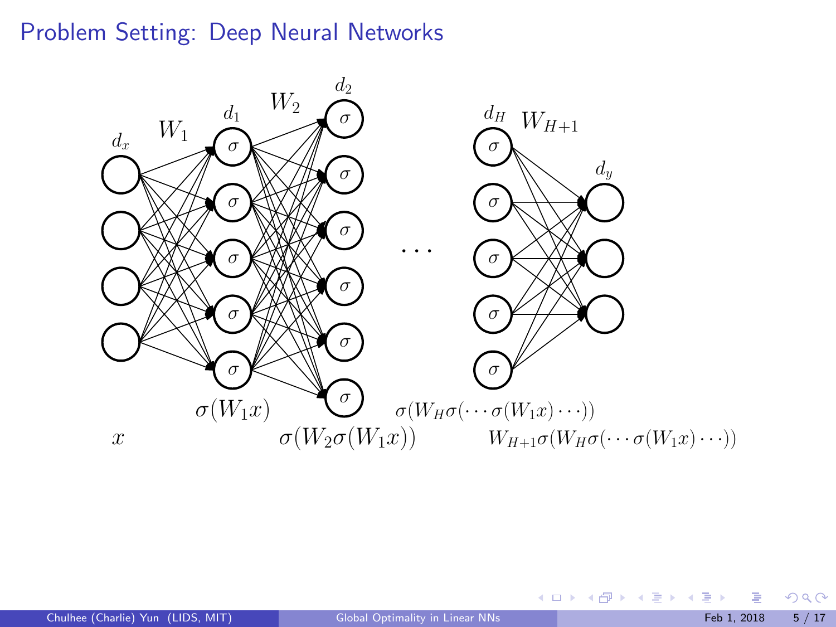

 $299$ 

メロメ メ御 メメ ミメ メ ヨメ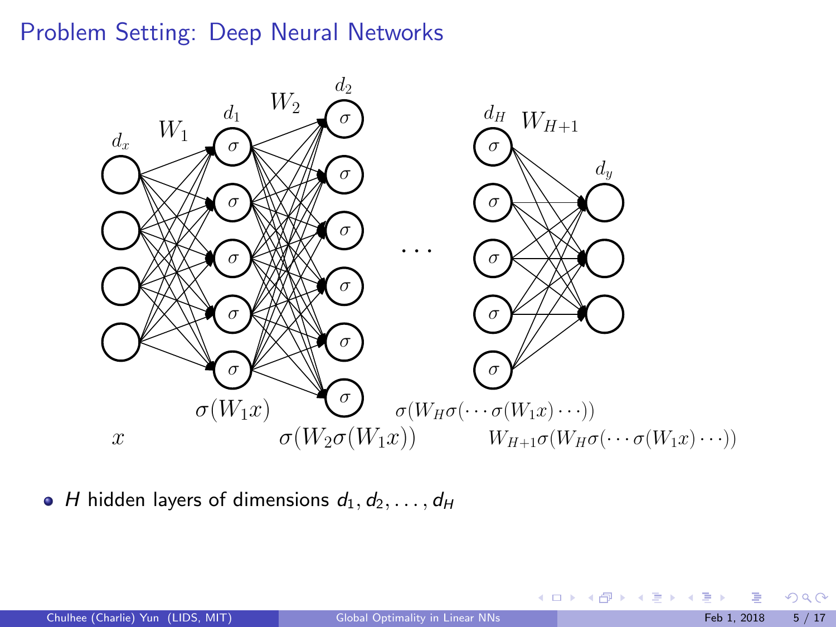

 $\bullet$  H hidden layers of dimensions  $d_1, d_2, \ldots, d_H$ 

 $299$ 

メロメ メ御き メミメ メミメ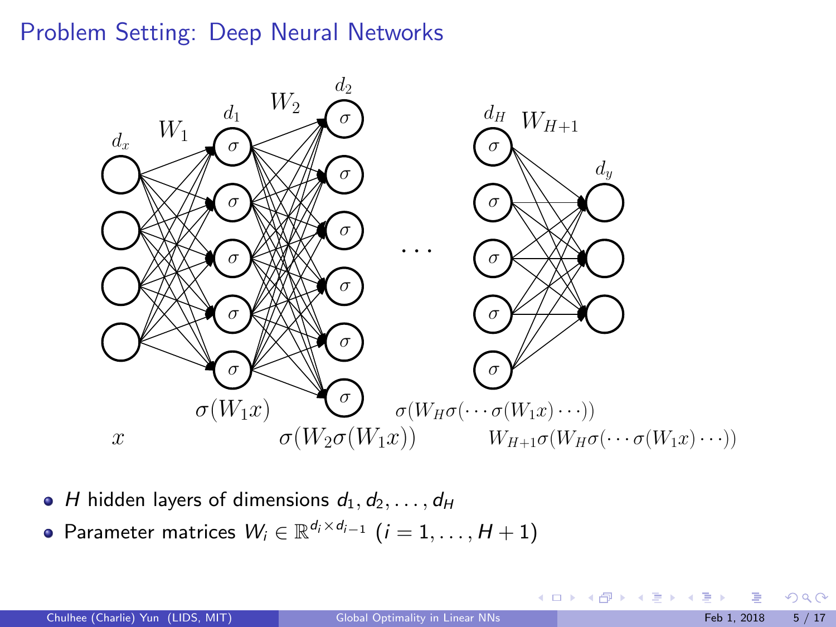

- $\bullet$  H hidden layers of dimensions  $d_1, d_2, \ldots, d_H$
- Parameter matrices  $W_i \in \mathbb{R}^{d_i \times d_{i-1}}$   $(i = 1, \ldots, H + 1)$

 $QQ$ 

メロメ メ御き メミメ メミメ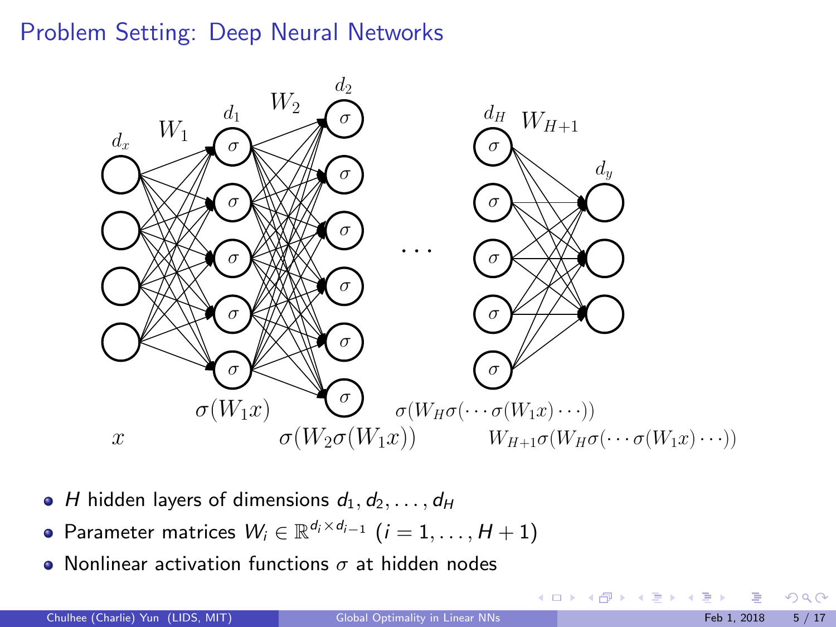

- $\bullet$  H hidden layers of dimensions  $d_1, d_2, \ldots, d_H$
- Parameter matrices  $W_i \in \mathbb{R}^{d_i \times d_{i-1}}$   $(i = 1, \ldots, H + 1)$
- Nonlinear activation functions  $\sigma$  at hidden nodes

 $QQ$ 

K ロンス 御 > ス ヨ > ス ヨ > 一 ヨ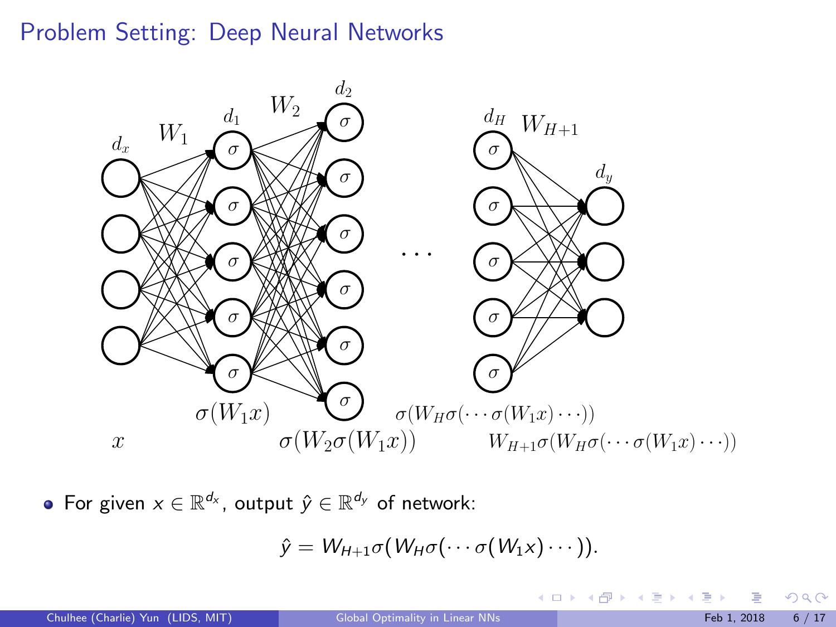

For given  $x \in \mathbb{R}^{d_x}$ , output  $\hat{y} \in \mathbb{R}^{d_y}$  of network:

$$
\hat{y} = W_{H+1}\sigma(W_H\sigma(\cdots\sigma(W_1x)\cdots)).
$$

 $299$ 

メロメ メ御き メミメ メミメ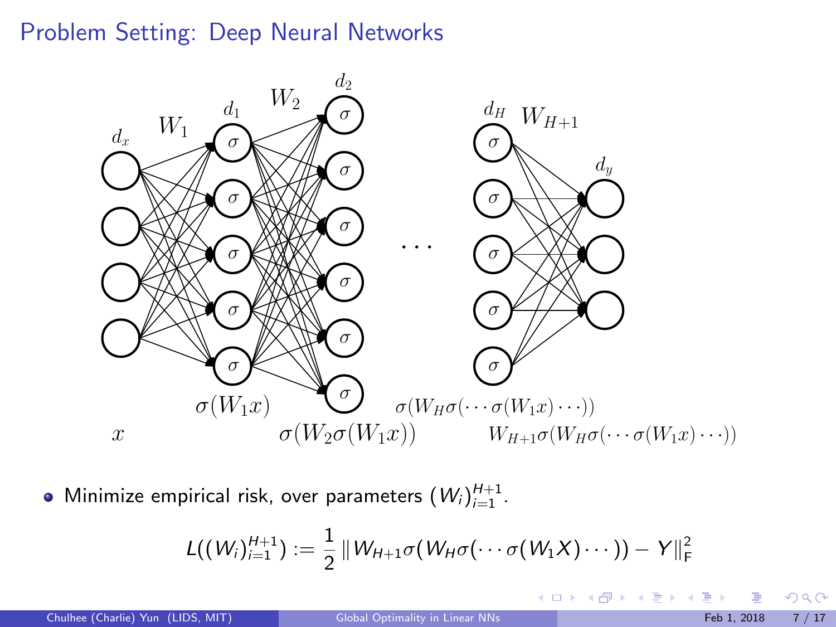

Minimize empirical risk, over parameters  $(W_i)_{i=1}^{H+1}$ .

$$
L((W_i)_{i=1}^{H+1}) := \frac{1}{2} ||W_{H+1}\sigma(W_H\sigma(\cdots\sigma(W_1X)\cdots)) - Y||_F^2
$$

メロメ メ御き メミメ メミメ

 $2990$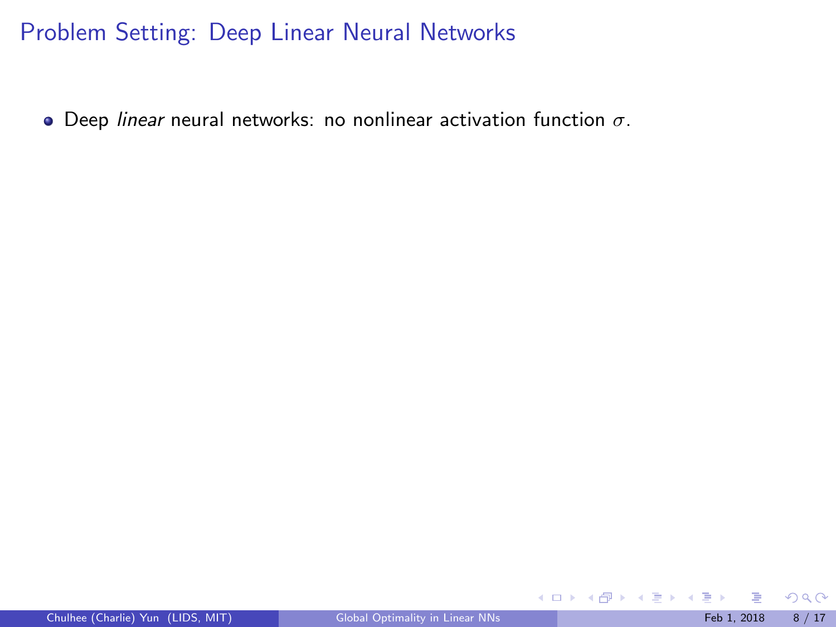$\bullet$  Deep linear neural networks: no nonlinear activation function  $\sigma$ .

 $299$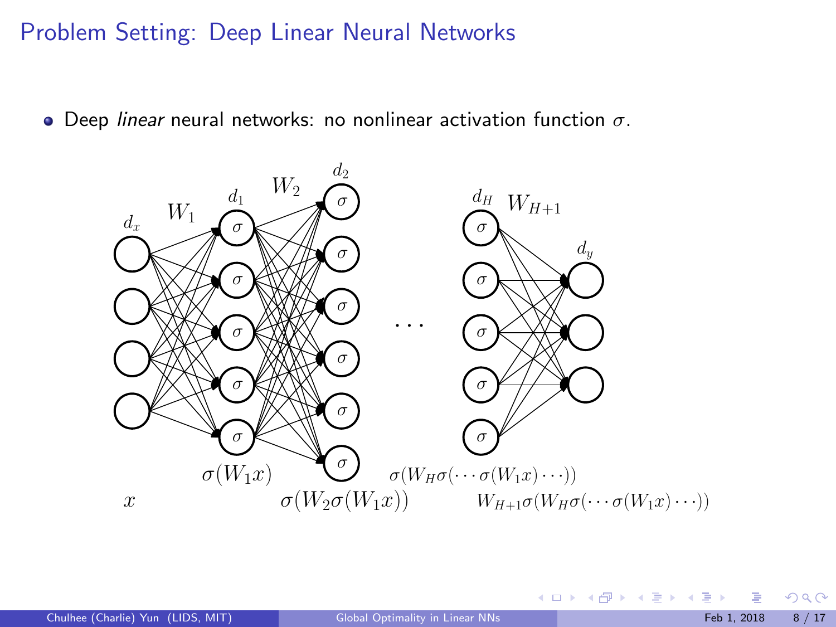$\bullet$  Deep linear neural networks: no nonlinear activation function  $\sigma$ .



 $299$ 

イロト イ団 トメ 君 トメ 君 トー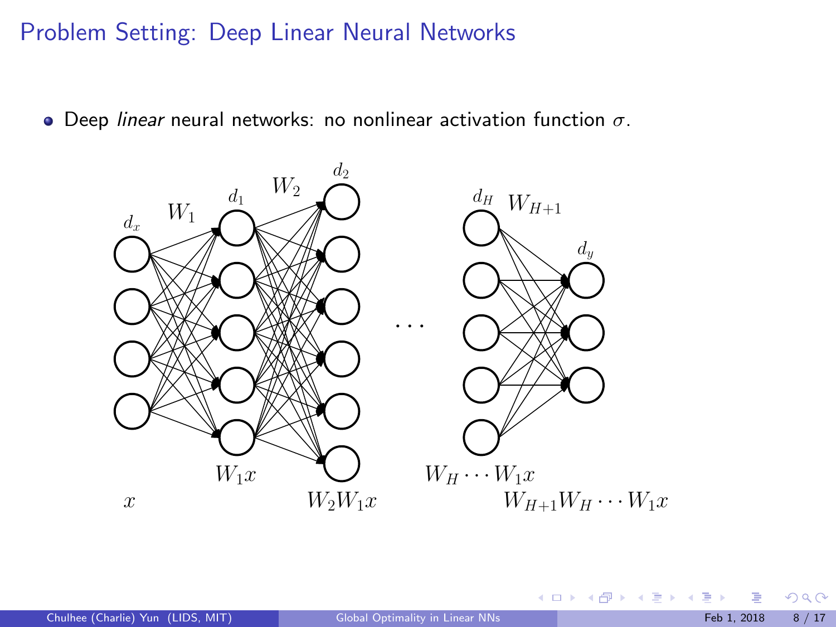$\bullet$  Deep linear neural networks: no nonlinear activation function  $\sigma$ .



 $299$ 

メロメ メ御 メメ ミメ メ ヨメ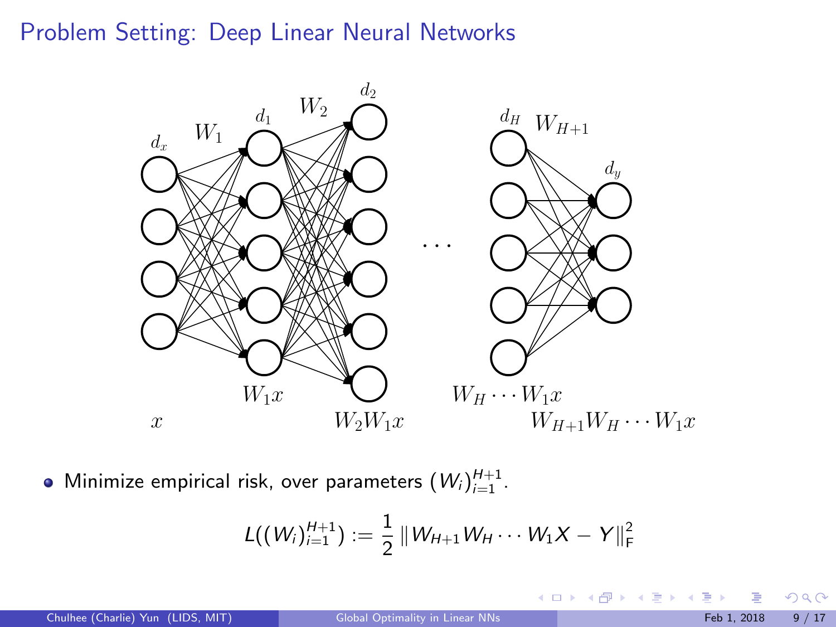

Minimize empirical risk, over parameters  $(W_i)_{i=1}^{H+1}$ .

$$
L((W_i)_{i=1}^{H+1}) := \frac{1}{2} ||W_{H+1}W_H \cdots W_1X - Y||_F^2
$$

 $299$ 

メロメ メ御 メメ ミメ メ ヨメ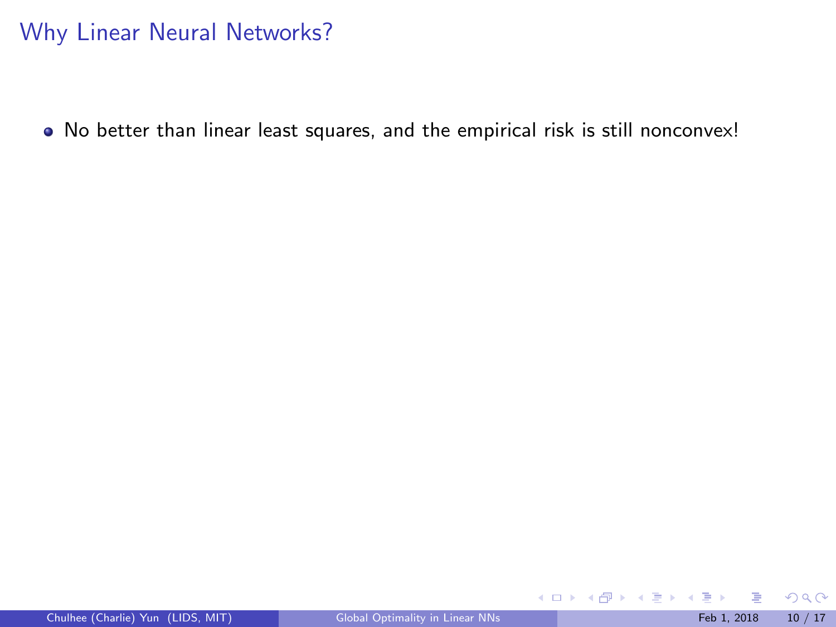No better than linear least squares, and the empirical risk is still nonconvex!

 $299$ 

メロメ メ御 メメ きょくき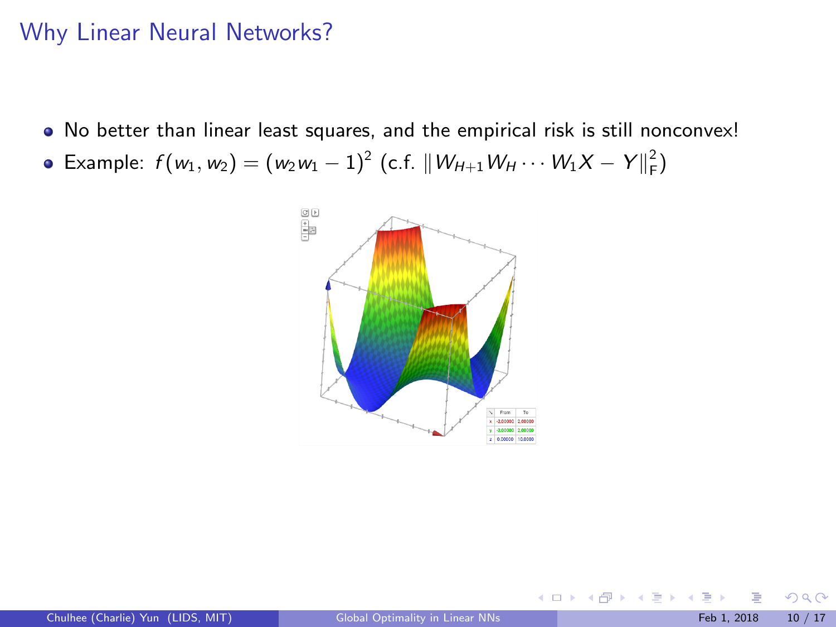No better than linear least squares, and the empirical risk is still nonconvex!

Example:  $f(w_1, w_2) = (w_2w_1 - 1)^2$  (c.f.  $||W_{H+1}W_H \cdots W_1X - Y||_F^2$ )



 $\Omega$ 

**K ロ ト K 御 ト K ミ ト**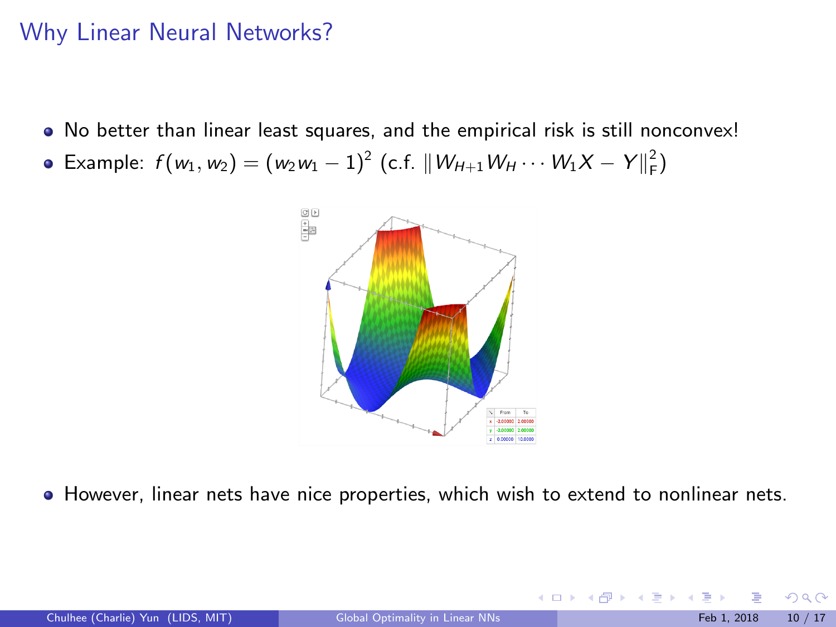No better than linear least squares, and the empirical risk is still nonconvex!

Example:  $f(w_1, w_2) = (w_2w_1 - 1)^2$  (c.f.  $||W_{H+1}W_H \cdots W_1X - Y||_F^2$ )



**However, linear nets have nice properties, which wish to extend to nonlinear nets.** 

| Chulhee (Charlie) Yun (LIDS, MIT) |  |  |  |  |
|-----------------------------------|--|--|--|--|
|-----------------------------------|--|--|--|--|

 $\Omega$ 

メロメ メタメ メミメス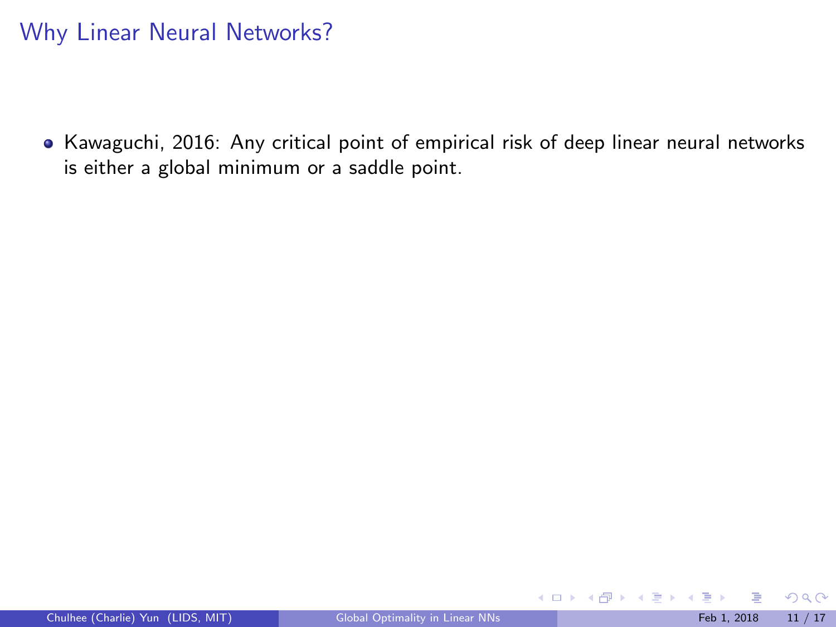• Kawaguchi, 2016: Any critical point of empirical risk of deep linear neural networks is either a global minimum or a saddle point.

 $299$ 

メロトメ 御 トメ 君 トメ 君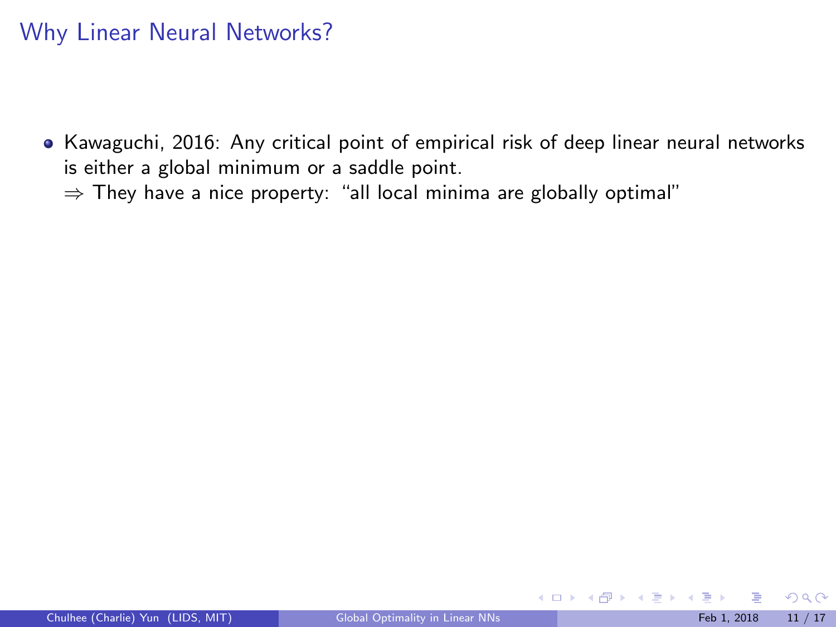- Kawaguchi, 2016: Any critical point of empirical risk of deep linear neural networks is either a global minimum or a saddle point.
	- $\Rightarrow$  They have a nice property: "all local minima are globally optimal"

 $\Omega$ 

メロトメ 御 トメ 君 トメ 君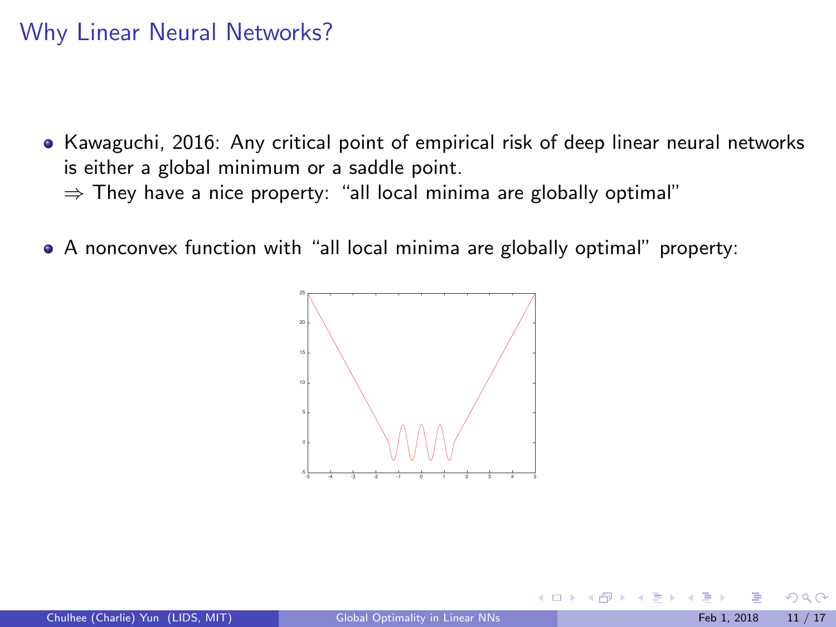- Kawaguchi, 2016: Any critical point of empirical risk of deep linear neural networks is either a global minimum or a saddle point.  $\Rightarrow$  They have a nice property: "all local minima are globally optimal"
- A nonconvex function with "all local minima are globally optimal" property:



4 日下

**100 m** 

ヨト

 $\Omega$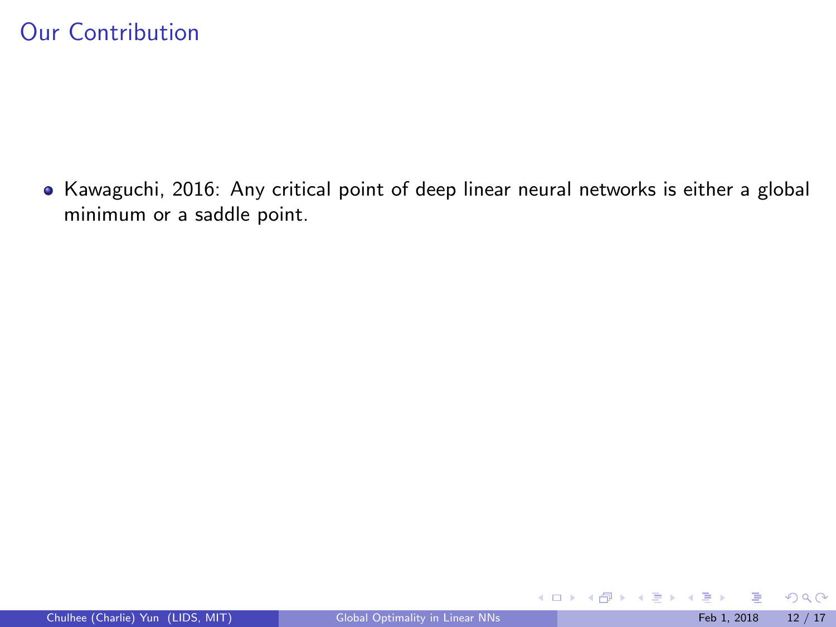• Kawaguchi, 2016: Any critical point of deep linear neural networks is either a global minimum or a saddle point.

 $299$ 

K ロ ▶ K 個 ▶ K 君 ▶ K 君 ▶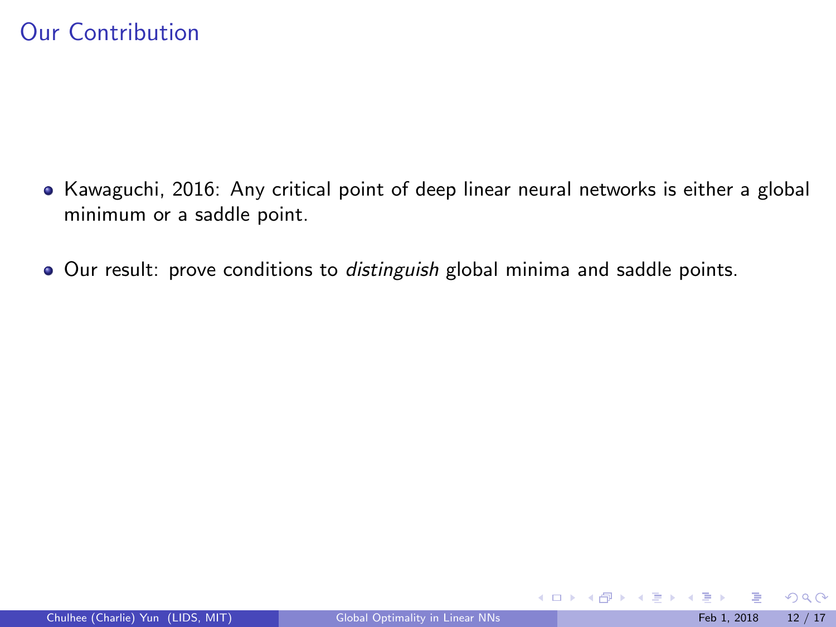- Kawaguchi, 2016: Any critical point of deep linear neural networks is either a global minimum or a saddle point.
- Our result: prove conditions to distinguish global minima and saddle points.

 $299$ 

メロト メ御 トメ きょ メきょ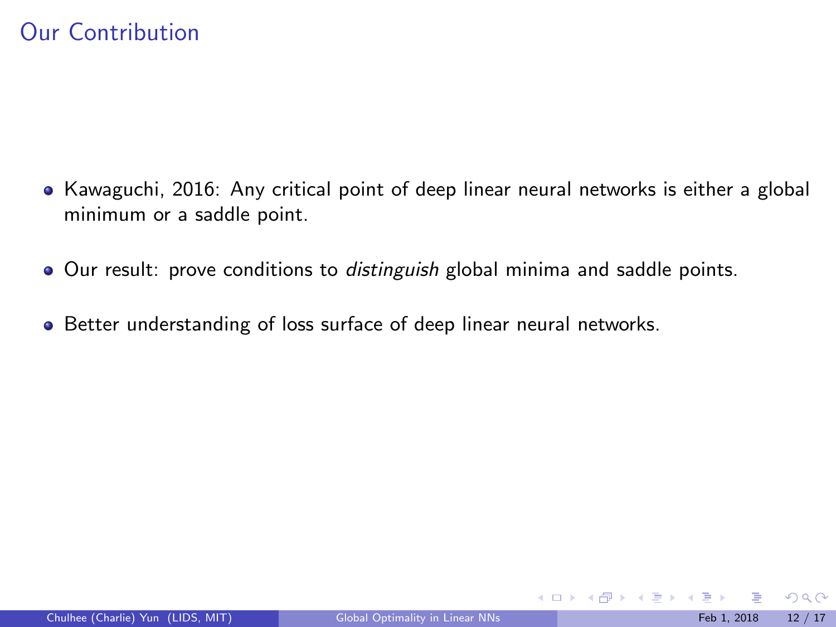- Kawaguchi, 2016: Any critical point of deep linear neural networks is either a global minimum or a saddle point.
- Our result: prove conditions to *distinguish* global minima and saddle points.
- Better understanding of loss surface of deep linear neural networks.

 $QQ$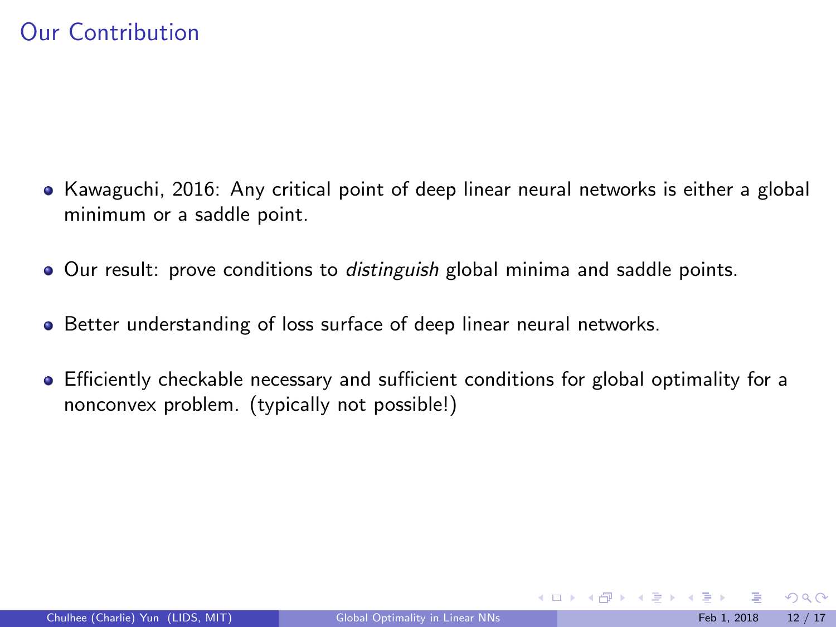- Kawaguchi, 2016: Any critical point of deep linear neural networks is either a global minimum or a saddle point.
- Our result: prove conditions to *distinguish* global minima and saddle points.
- Better understanding of loss surface of deep linear neural networks.
- Efficiently checkable necessary and sufficient conditions for global optimality for a nonconvex problem. (typically not possible!)

 $QQ$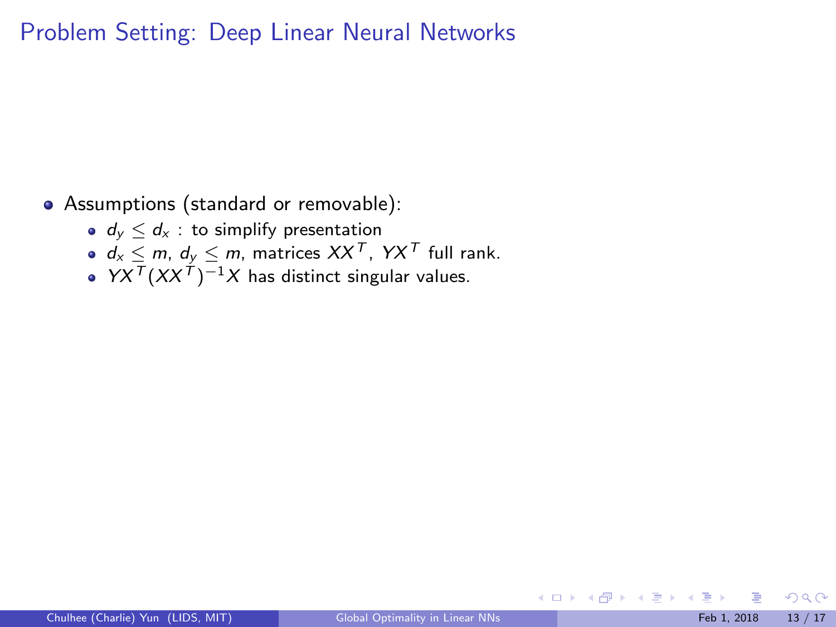Assumptions (standard or removable):

- $\bullet$   $d_y \leq d_x$ : to simplify presentation
- $d_x \le m$ ,  $d_y \le m$ , matrices  $XX^T$ ,  $YX^T$  full rank.
- $YX^{T}(XX^{T})^{-1}X$  has distinct singular values.

 $\Omega$ 

 $\left\{ \begin{array}{ccc} 1 & 0 & 0 \\ 0 & 1 & 0 \end{array} \right\}$  ,  $\left\{ \begin{array}{ccc} 0 & 0 & 0 \\ 0 & 0 & 0 \end{array} \right\}$  ,  $\left\{ \begin{array}{ccc} 0 & 0 & 0 \\ 0 & 0 & 0 \end{array} \right\}$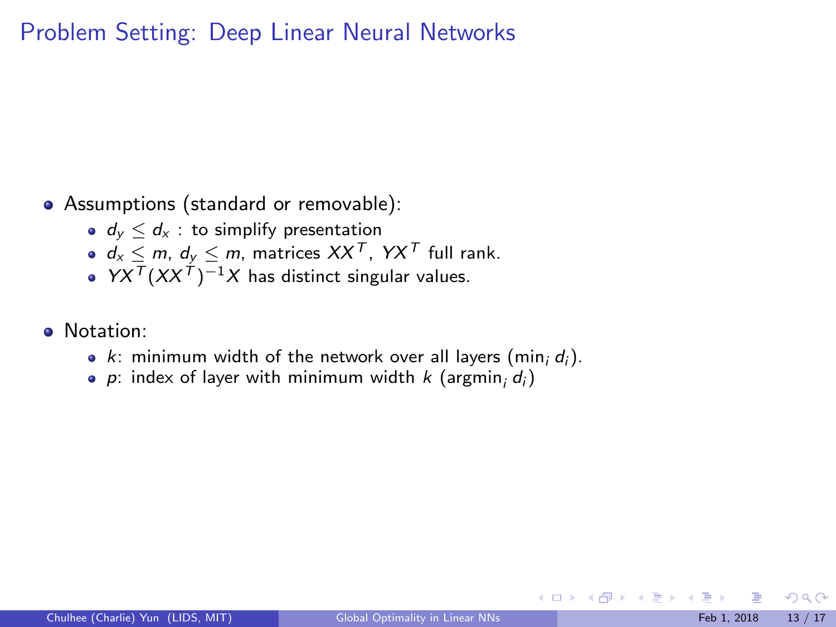• Assumptions (standard or removable):

- $\bullet$   $d_y \leq d_x$ : to simplify presentation
- $\bullet$   $d_X \le m$ ,  $d_Y \le m$ , matrices  $XX^T$ ,  $YX^T$  full rank.
- $YX^{T}(XX^{T})^{-1}X$  has distinct singular values.
- Notation:
	- $k$ : minimum width of the network over all layers (min<sub>i</sub>  $d_i$ ).
	- p: index of layer with minimum width  $k$  (argmin;  $d_i$ )

 $\Omega$ 

メロト メ御 トメ きょ メきょ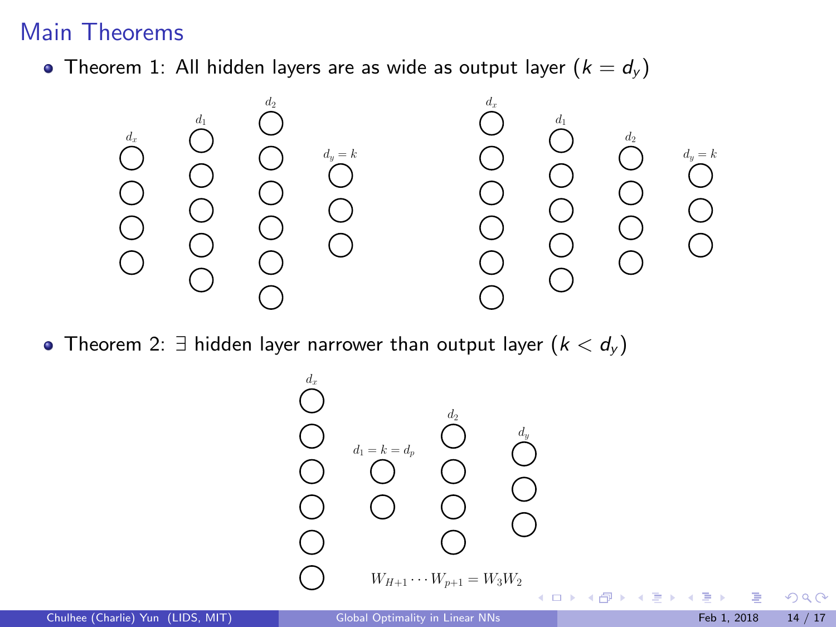### Main Theorems

• Theorem 1: All hidden layers are as wide as output layer  $(k = d_y)$ 



• Theorem 2:  $\exists$  hidden layer narrower than output layer  $(k < d<sub>y</sub>)$ 

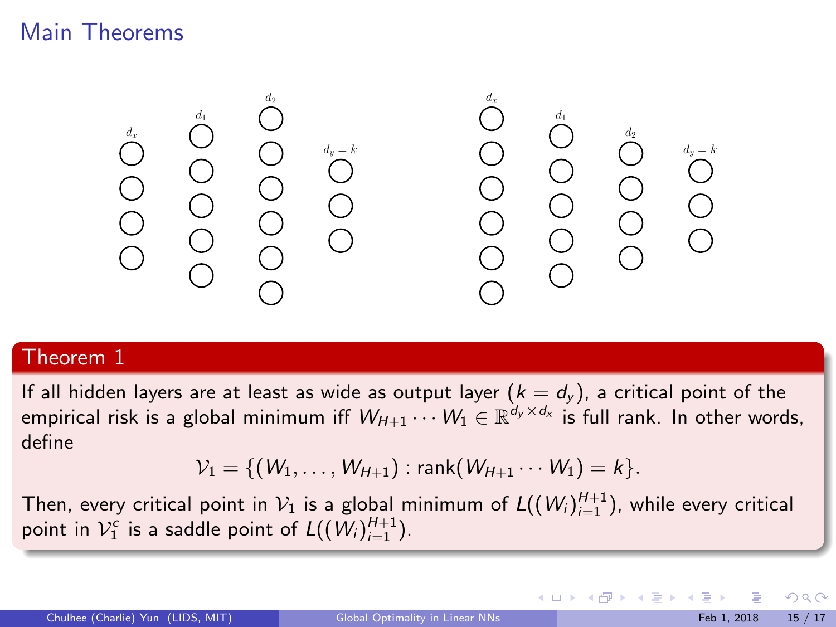### Main Theorems



#### Theorem 1

If all hidden layers are at least as wide as output layer  $(k=d_y)$ , a critical point of the empirical risk is a global minimum iff  $W_{H+1}\cdots W_1\in\mathbb{R}^{d_y\times d_x}$  is full rank. In other words, define

$$
\mathcal{V}_1 = \{ (W_1, \ldots, W_{H+1}) : \text{rank}(W_{H+1} \cdots W_1) = k \}.
$$

Then, every critical point in  $\mathcal{V}_1$  is a global minimum of  $\mathcal{L}((\mathcal{W}_i)_{i=1}^{H+1})$ , while every critical point in  ${\mathcal V}_1^c$  is a saddle point of  $L((W_i)_{i=1}^{H+1})$ .

メロメ メ御 メメ きょくきょ

 $QQ$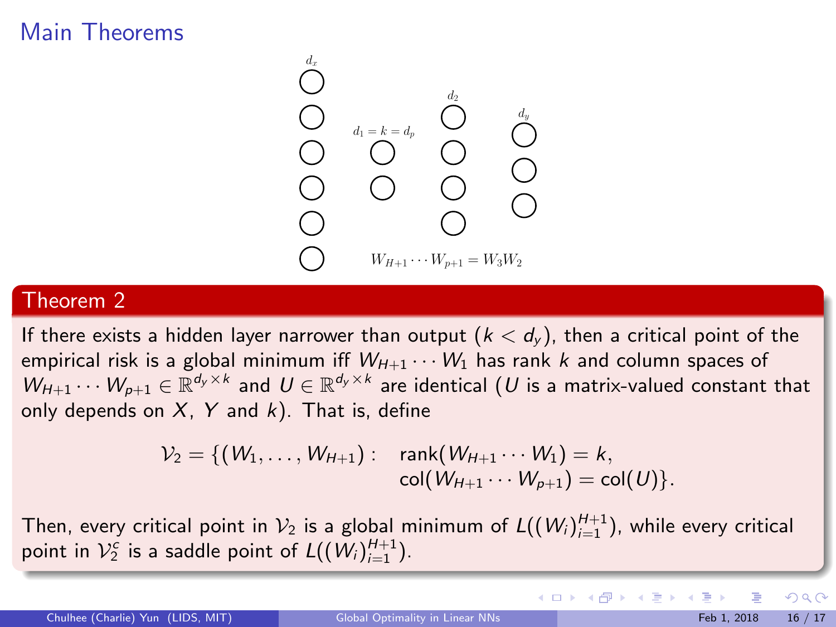## Main Theorems



#### Theorem 2

If there exists a hidden layer narrower than output  $(k < d<sub>y</sub>)$ , then a critical point of the empirical risk is a global minimum iff  $W_{H+1} \cdots W_1$  has rank k and column spaces of  $W_{H+1}\cdots W_{p+1}\in\mathbb{R}^{d_y\times k}$  and  $U\in\mathbb{R}^{d_y\times k}$  are identical  $(U$  is a matrix-valued constant that only depends on  $X$ ,  $Y$  and  $k$ ). That is, define

$$
\mathcal{V}_2 = \{ (W_1, \ldots, W_{H+1}) : \operatorname{rank}(W_{H+1} \cdots W_1) = k, \\ \operatorname{col}(W_{H+1} \cdots W_{p+1}) = \operatorname{col}(U) \}.
$$

Then, every critical point in  $\mathcal{V}_2$  is a global minimum of  $\mathcal{L}((\mathcal{W}_i)_{i=1}^{H+1})$ , while every critical point in  $\mathcal{V}_2^c$  is a saddle point of  $\mathcal{L}((\mathcal{W}_i)_{i=1}^{H+1})$ .

 $\Omega$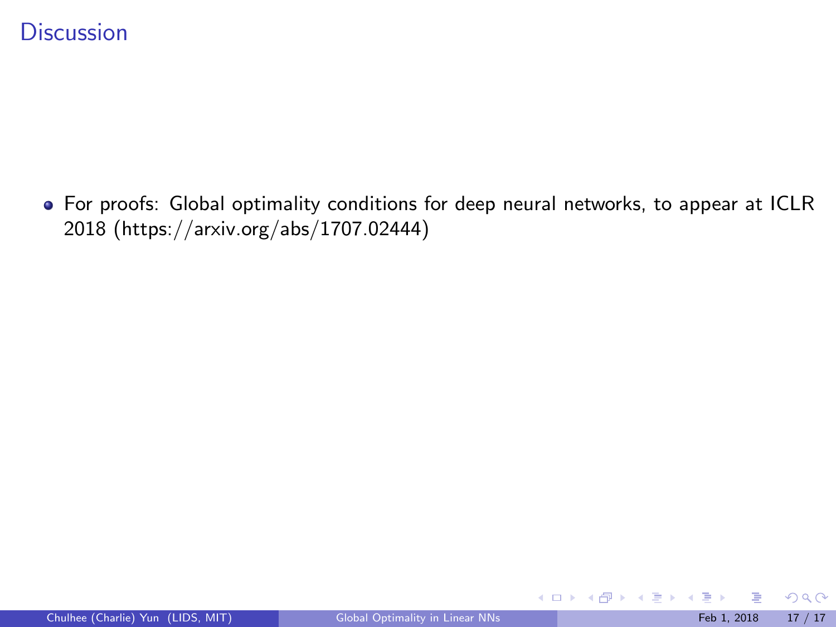For proofs: Global optimality conditions for deep neural networks, to appear at ICLR 2018 (https://arxiv.org/abs/1707.02444)

 $299$ 

K ロ X K 個 X K 差 X K 差 X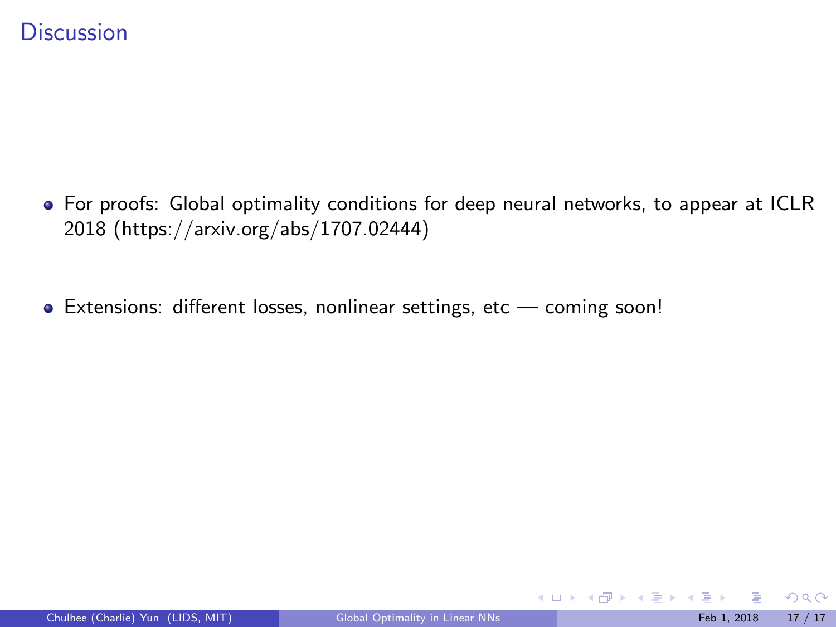- For proofs: Global optimality conditions for deep neural networks, to appear at ICLR 2018 (https://arxiv.org/abs/1707.02444)
- Extensions: different losses, nonlinear settings, etc coming soon!

 $299$ 

メロト メ御 トメ きょ メきょ